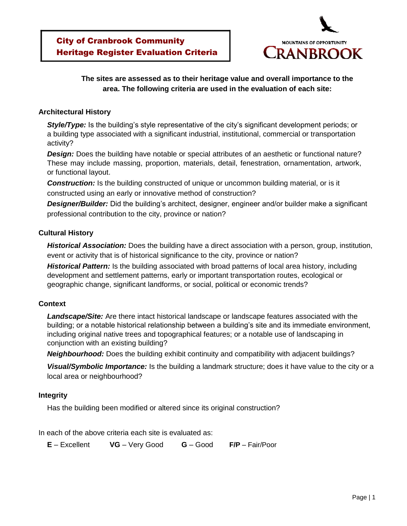

### **The sites are assessed as to their heritage value and overall importance to the area. The following criteria are used in the evaluation of each site:**

#### **Architectural History**

**Style/Type:** Is the building's style representative of the city's significant development periods; or a building type associated with a significant industrial, institutional, commercial or transportation activity?

**Design:** Does the building have notable or special attributes of an aesthetic or functional nature? These may include massing, proportion, materials, detail, fenestration, ornamentation, artwork, or functional layout.

**Construction:** Is the building constructed of unique or uncommon building material, or is it constructed using an early or innovative method of construction?

*Designer/Builder:* Did the building's architect, designer, engineer and/or builder make a significant professional contribution to the city, province or nation?

#### **Cultural History**

*Historical Association:* Does the building have a direct association with a person, group, institution, event or activity that is of historical significance to the city, province or nation?

*Historical Pattern:* Is the building associated with broad patterns of local area history, including development and settlement patterns, early or important transportation routes, ecological or geographic change, significant landforms, or social, political or economic trends?

#### **Context**

*Landscape/Site:* Are there intact historical landscape or landscape features associated with the building; or a notable historical relationship between a building's site and its immediate environment, including original native trees and topographical features; or a notable use of landscaping in conjunction with an existing building?

*Neighbourhood:* Does the building exhibit continuity and compatibility with adjacent buildings?

*Visual/Symbolic Importance:* Is the building a landmark structure; does it have value to the city or a local area or neighbourhood?

#### **Integrity**

Has the building been modified or altered since its original construction?

In each of the above criteria each site is evaluated as:

**E** – Excellent **VG** – Very Good **G** – Good **F/P** – Fair/Poor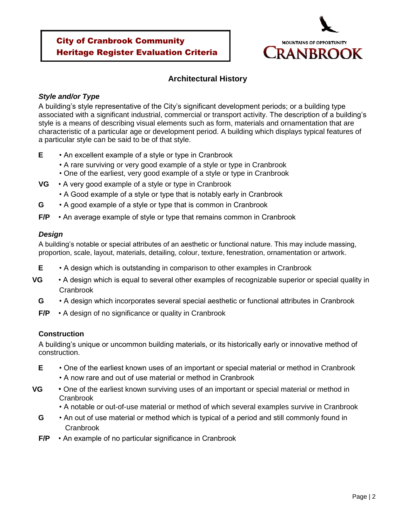

## **Architectural History**

### *Style and/or Type*

A building's style representative of the City's significant development periods; or a building type associated with a significant industrial, commercial or transport activity. The description of a building's style is a means of describing visual elements such as form, materials and ornamentation that are characteristic of a particular age or development period. A building which displays typical features of a particular style can be said to be of that style.

- **E** An excellent example of a style or type in Cranbrook
	- A rare surviving or very good example of a style or type in Cranbrook
	- One of the earliest, very good example of a style or type in Cranbrook
- **VG** A very good example of a style or type in Cranbrook
	- A Good example of a style or type that is notably early in Cranbrook
- **G** A good example of a style or type that is common in Cranbrook
- **F/P** An average example of style or type that remains common in Cranbrook

### *Design*

A building's notable or special attributes of an aesthetic or functional nature. This may include massing, proportion, scale, layout, materials, detailing, colour, texture, fenestration, ornamentation or artwork.

- **E** A design which is outstanding in comparison to other examples in Cranbrook
- **VG** A design which is equal to several other examples of recognizable superior or special quality in Cranbrook
	- **G** A design which incorporates several special aesthetic or functional attributes in Cranbrook
	- **F/P** A design of no significance or quality in Cranbrook

## **Construction**

A building's unique or uncommon building materials, or its historically early or innovative method of construction.

- **E** One of the earliest known uses of an important or special material or method in Cranbrook
	- A now rare and out of use material or method in Cranbrook
- **VG** One of the earliest known surviving uses of an important or special material or method in Cranbrook
	- A notable or out-of-use material or method of which several examples survive in Cranbrook
	- **G** An out of use material or method which is typical of a period and still commonly found in **Cranbrook**
	- **F/P** An example of no particular significance in Cranbrook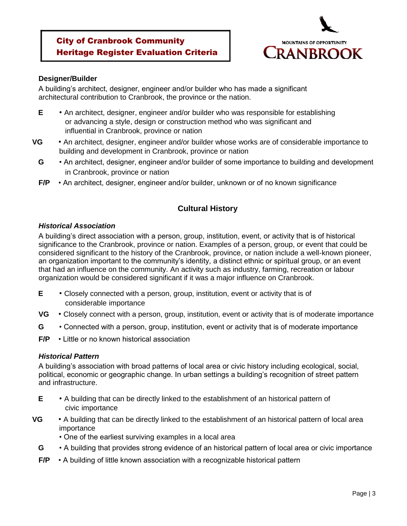

#### **Designer/Builder**

A building's architect, designer, engineer and/or builder who has made a significant architectural contribution to Cranbrook, the province or the nation.

- **E** An architect, designer, engineer and/or builder who was responsible for establishing or advancing a style, design or construction method who was significant and influential in Cranbrook, province or nation
- **VG** An architect, designer, engineer and/or builder whose works are of considerable importance to building and development in Cranbrook, province or nation
	- **G** An architect, designer, engineer and/or builder of some importance to building and development in Cranbrook, province or nation
	- **F/P** An architect, designer, engineer and/or builder, unknown or of no known significance

# **Cultural History**

### *Historical Association*

A building's direct association with a person, group, institution, event, or activity that is of historical significance to the Cranbrook, province or nation. Examples of a person, group, or event that could be considered significant to the history of the Cranbrook, province, or nation include a well-known pioneer, an organization important to the community's identity, a distinct ethnic or spiritual group, or an event that had an influence on the community. An activity such as industry, farming, recreation or labour organization would be considered significant if it was a major influence on Cranbrook.

- **E** Closely connected with a person, group, institution, event or activity that is of considerable importance
- **VG** Closely connect with a person, group, institution, event or activity that is of moderate importance
- **G** Connected with a person, group, institution, event or activity that is of moderate importance
- **F/P** Little or no known historical association

## *Historical Pattern*

A building's association with broad patterns of local area or civic history including ecological, social, political, economic or geographic change. In urban settings a building's recognition of street pattern and infrastructure.

- **E** A building that can be directly linked to the establishment of an historical pattern of civic importance
- **VG** A building that can be directly linked to the establishment of an historical pattern of local area importance
	- One of the earliest surviving examples in a local area
	- **G** A building that provides strong evidence of an historical pattern of local area or civic importance
	- **F/P** A building of little known association with a recognizable historical pattern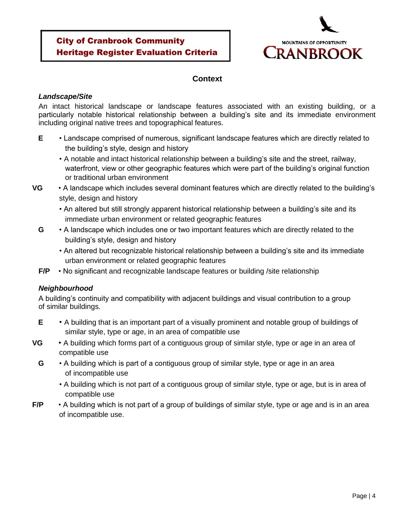

## **Context**

#### *Landscape/Site*

An intact historical landscape or landscape features associated with an existing building, or a particularly notable historical relationship between a building's site and its immediate environment including original native trees and topographical features.

- **E** Landscape comprised of numerous, significant landscape features which are directly related to the building's style, design and history
	- A notable and intact historical relationship between a building's site and the street, railway, waterfront, view or other geographic features which were part of the building's original function or traditional urban environment
- **VG** A landscape which includes several dominant features which are directly related to the building's style, design and history
	- An altered but still strongly apparent historical relationship between a building's site and its immediate urban environment or related geographic features
	- **G** A landscape which includes one or two important features which are directly related to the building's style, design and history
		- An altered but recognizable historical relationship between a building's site and its immediate urban environment or related geographic features
	- **F/P** No significant and recognizable landscape features or building /site relationship

### *Neighbourhood*

A building's continuity and compatibility with adjacent buildings and visual contribution to a group of similar buildings.

- **E** A building that is an important part of a visually prominent and notable group of buildings of similar style, type or age, in an area of compatible use
- **VG** A building which forms part of a contiguous group of similar style, type or age in an area of compatible use
	- **G** A building which is part of a contiguous group of similar style, type or age in an area of incompatible use
		- A building which is not part of a contiguous group of similar style, type or age, but is in area of compatible use
- **F/P** A building which is not part of a group of buildings of similar style, type or age and is in an area of incompatible use.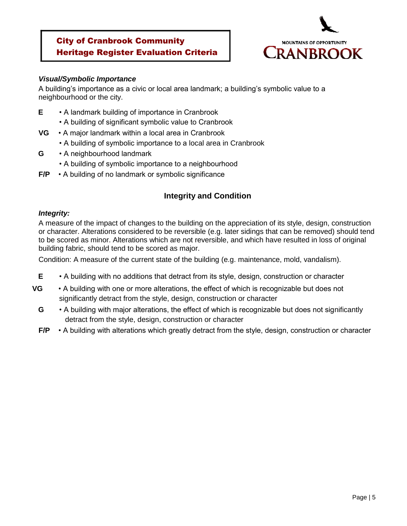

#### *Visual/Symbolic Importance*

A building's importance as a civic or local area landmark; a building's symbolic value to a neighbourhood or the city.

- **E** A landmark building of importance in Cranbrook
	- A building of significant symbolic value to Cranbrook
- **VG** A major landmark within a local area in Cranbrook
	- A building of symbolic importance to a local area in Cranbrook
- **G** A neighbourhood landmark
	- A building of symbolic importance to a neighbourhood
- **F/P** A building of no landmark or symbolic significance

# **Integrity and Condition**

### *Integrity:*

A measure of the impact of changes to the building on the appreciation of its style, design, construction or character. Alterations considered to be reversible (e.g. later sidings that can be removed) should tend to be scored as minor. Alterations which are not reversible, and which have resulted in loss of original building fabric, should tend to be scored as major.

Condition: A measure of the current state of the building (e.g. maintenance, mold, vandalism).

- **E** A building with no additions that detract from its style, design, construction or character
- **VG** A building with one or more alterations, the effect of which is recognizable but does not significantly detract from the style, design, construction or character
	- **G** A building with major alterations, the effect of which is recognizable but does not significantly detract from the style, design, construction or character
	- **F/P** A building with alterations which greatly detract from the style, design, construction or character